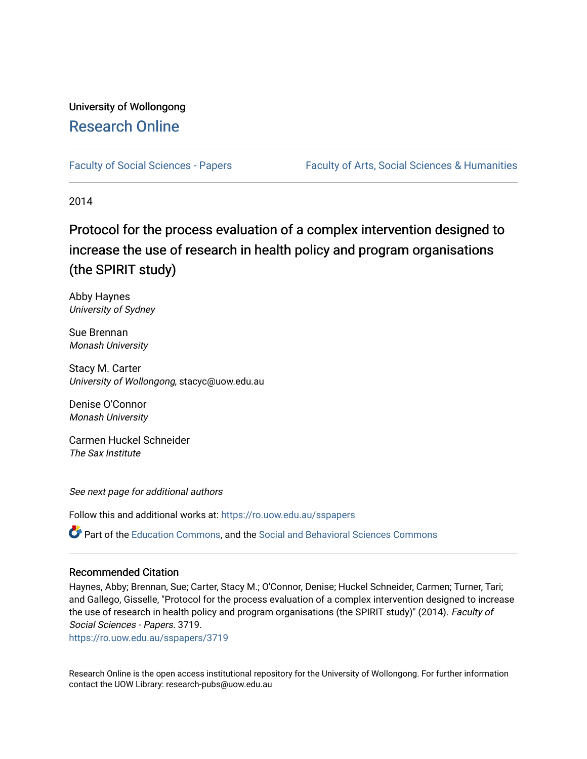# University of Wollongong [Research Online](https://ro.uow.edu.au/)

[Faculty of Social Sciences - Papers](https://ro.uow.edu.au/sspapers) Faculty of Arts, Social Sciences & Humanities

2014

# Protocol for the process evaluation of a complex intervention designed to increase the use of research in health policy and program organisations (the SPIRIT study)

Abby Haynes University of Sydney

Sue Brennan Monash University

Stacy M. Carter University of Wollongong, stacyc@uow.edu.au

Denise O'Connor Monash University

Carmen Huckel Schneider The Sax Institute

See next page for additional authors

Follow this and additional works at: [https://ro.uow.edu.au/sspapers](https://ro.uow.edu.au/sspapers?utm_source=ro.uow.edu.au%2Fsspapers%2F3719&utm_medium=PDF&utm_campaign=PDFCoverPages) 

Part of the [Education Commons](http://network.bepress.com/hgg/discipline/784?utm_source=ro.uow.edu.au%2Fsspapers%2F3719&utm_medium=PDF&utm_campaign=PDFCoverPages), and the [Social and Behavioral Sciences Commons](http://network.bepress.com/hgg/discipline/316?utm_source=ro.uow.edu.au%2Fsspapers%2F3719&utm_medium=PDF&utm_campaign=PDFCoverPages) 

# Recommended Citation

Haynes, Abby; Brennan, Sue; Carter, Stacy M.; O'Connor, Denise; Huckel Schneider, Carmen; Turner, Tari; and Gallego, Gisselle, "Protocol for the process evaluation of a complex intervention designed to increase the use of research in health policy and program organisations (the SPIRIT study)" (2014). Faculty of Social Sciences - Papers. 3719.

[https://ro.uow.edu.au/sspapers/3719](https://ro.uow.edu.au/sspapers/3719?utm_source=ro.uow.edu.au%2Fsspapers%2F3719&utm_medium=PDF&utm_campaign=PDFCoverPages)

Research Online is the open access institutional repository for the University of Wollongong. For further information contact the UOW Library: research-pubs@uow.edu.au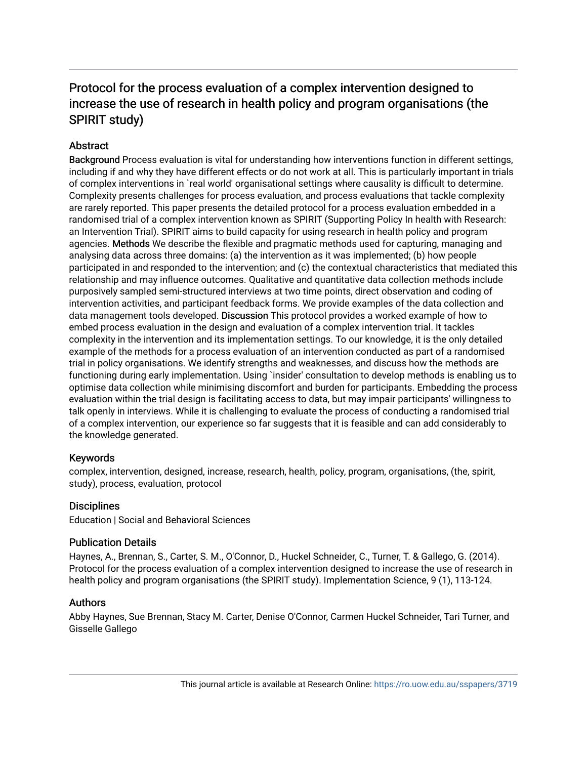# Protocol for the process evaluation of a complex intervention designed to increase the use of research in health policy and program organisations (the SPIRIT study)

# **Abstract**

Background Process evaluation is vital for understanding how interventions function in different settings, including if and why they have different effects or do not work at all. This is particularly important in trials of complex interventions in `real world' organisational settings where causality is difficult to determine. Complexity presents challenges for process evaluation, and process evaluations that tackle complexity are rarely reported. This paper presents the detailed protocol for a process evaluation embedded in a randomised trial of a complex intervention known as SPIRIT (Supporting Policy In health with Research: an Intervention Trial). SPIRIT aims to build capacity for using research in health policy and program agencies. Methods We describe the flexible and pragmatic methods used for capturing, managing and analysing data across three domains: (a) the intervention as it was implemented; (b) how people participated in and responded to the intervention; and (c) the contextual characteristics that mediated this relationship and may influence outcomes. Qualitative and quantitative data collection methods include purposively sampled semi-structured interviews at two time points, direct observation and coding of intervention activities, and participant feedback forms. We provide examples of the data collection and data management tools developed. Discussion This protocol provides a worked example of how to embed process evaluation in the design and evaluation of a complex intervention trial. It tackles complexity in the intervention and its implementation settings. To our knowledge, it is the only detailed example of the methods for a process evaluation of an intervention conducted as part of a randomised trial in policy organisations. We identify strengths and weaknesses, and discuss how the methods are functioning during early implementation. Using `insider' consultation to develop methods is enabling us to optimise data collection while minimising discomfort and burden for participants. Embedding the process evaluation within the trial design is facilitating access to data, but may impair participants' willingness to talk openly in interviews. While it is challenging to evaluate the process of conducting a randomised trial of a complex intervention, our experience so far suggests that it is feasible and can add considerably to the knowledge generated.

# Keywords

complex, intervention, designed, increase, research, health, policy, program, organisations, (the, spirit, study), process, evaluation, protocol

# **Disciplines**

Education | Social and Behavioral Sciences

# Publication Details

Haynes, A., Brennan, S., Carter, S. M., O'Connor, D., Huckel Schneider, C., Turner, T. & Gallego, G. (2014). Protocol for the process evaluation of a complex intervention designed to increase the use of research in health policy and program organisations (the SPIRIT study). Implementation Science, 9 (1), 113-124.

# Authors

Abby Haynes, Sue Brennan, Stacy M. Carter, Denise O'Connor, Carmen Huckel Schneider, Tari Turner, and Gisselle Gallego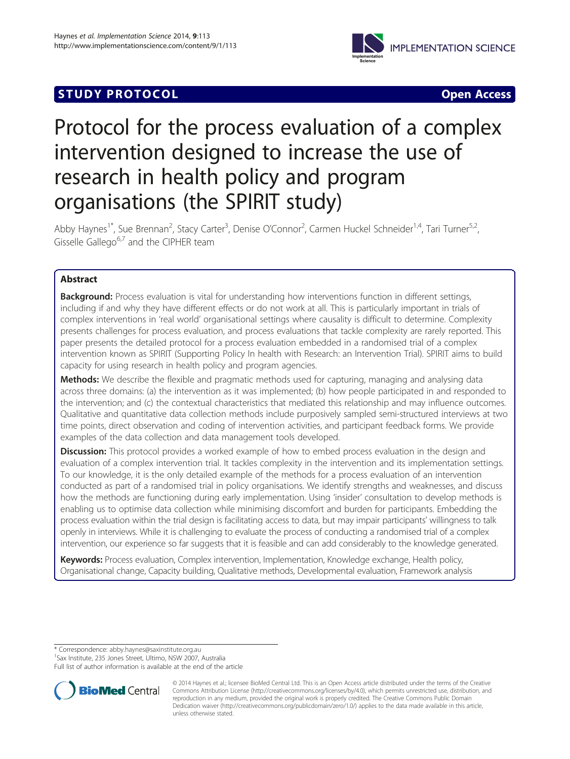# **STUDY PROTOCOL CONSUMING THE CONSUMING OPEN ACCESS**



# Protocol for the process evaluation of a complex intervention designed to increase the use of research in health policy and program organisations (the SPIRIT study)

Abby Haynes<sup>1\*</sup>, Sue Brennan<sup>2</sup>, Stacy Carter<sup>3</sup>, Denise O'Connor<sup>2</sup>, Carmen Huckel Schneider<sup>1,4</sup>, Tari Turner<sup>5,2</sup>, Gisselle Gallego<sup>6,7</sup> and the CIPHER team

# Abstract

Background: Process evaluation is vital for understanding how interventions function in different settings, including if and why they have different effects or do not work at all. This is particularly important in trials of complex interventions in 'real world' organisational settings where causality is difficult to determine. Complexity presents challenges for process evaluation, and process evaluations that tackle complexity are rarely reported. This paper presents the detailed protocol for a process evaluation embedded in a randomised trial of a complex intervention known as SPIRIT (Supporting Policy In health with Research: an Intervention Trial). SPIRIT aims to build capacity for using research in health policy and program agencies.

**Methods:** We describe the flexible and pragmatic methods used for capturing, managing and analysing data across three domains: (a) the intervention as it was implemented; (b) how people participated in and responded to the intervention; and (c) the contextual characteristics that mediated this relationship and may influence outcomes. Qualitative and quantitative data collection methods include purposively sampled semi-structured interviews at two time points, direct observation and coding of intervention activities, and participant feedback forms. We provide examples of the data collection and data management tools developed.

**Discussion:** This protocol provides a worked example of how to embed process evaluation in the design and evaluation of a complex intervention trial. It tackles complexity in the intervention and its implementation settings. To our knowledge, it is the only detailed example of the methods for a process evaluation of an intervention conducted as part of a randomised trial in policy organisations. We identify strengths and weaknesses, and discuss how the methods are functioning during early implementation. Using 'insider' consultation to develop methods is enabling us to optimise data collection while minimising discomfort and burden for participants. Embedding the process evaluation within the trial design is facilitating access to data, but may impair participants' willingness to talk openly in interviews. While it is challenging to evaluate the process of conducting a randomised trial of a complex intervention, our experience so far suggests that it is feasible and can add considerably to the knowledge generated.

Keywords: Process evaluation, Complex intervention, Implementation, Knowledge exchange, Health policy, Organisational change, Capacity building, Qualitative methods, Developmental evaluation, Framework analysis

\* Correspondence: [abby.haynes@saxinstitute.org.au](mailto:abby.haynes@saxinstitute.org.au) <sup>1</sup>

<sup>1</sup>Sax Institute, 235 Jones Street, Ultimo, NSW 2007, Australia

Full list of author information is available at the end of the article



<sup>© 2014</sup> Haynes et al.; licensee BioMed Central Ltd. This is an Open Access article distributed under the terms of the Creative Commons Attribution License [\(http://creativecommons.org/licenses/by/4.0\)](http://creativecommons.org/licenses/by/4.0), which permits unrestricted use, distribution, and reproduction in any medium, provided the original work is properly credited. The Creative Commons Public Domain Dedication waiver [\(http://creativecommons.org/publicdomain/zero/1.0/](http://creativecommons.org/publicdomain/zero/1.0/)) applies to the data made available in this article, unless otherwise stated.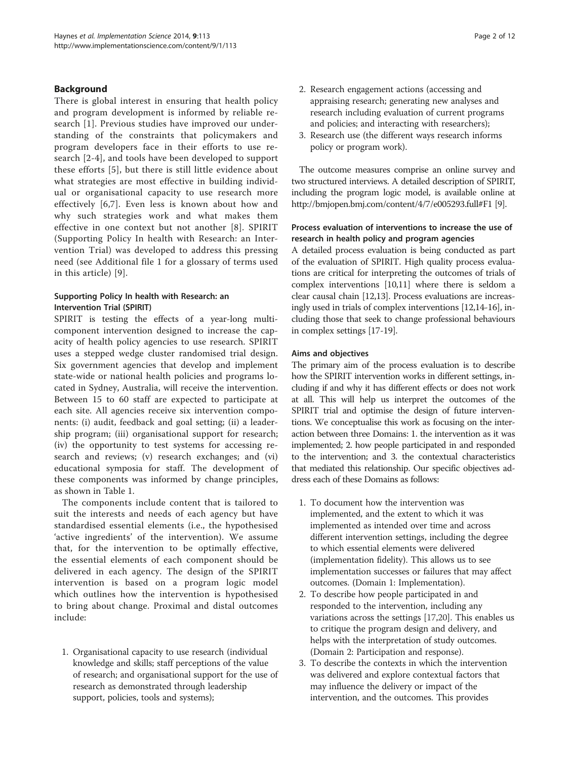#### Background

There is global interest in ensuring that health policy and program development is informed by reliable research [[1\]](#page-12-0). Previous studies have improved our understanding of the constraints that policymakers and program developers face in their efforts to use research [[2](#page-12-0)-[4](#page-12-0)], and tools have been developed to support these efforts [\[5\]](#page-12-0), but there is still little evidence about what strategies are most effective in building individual or organisational capacity to use research more effectively [[6,7\]](#page-12-0). Even less is known about how and why such strategies work and what makes them effective in one context but not another [[8\]](#page-12-0). SPIRIT (Supporting Policy In health with Research: an Intervention Trial) was developed to address this pressing need (see Additional file [1](#page-12-0) for a glossary of terms used in this article) [[9\]](#page-12-0).

#### Supporting Policy In health with Research: an Intervention Trial (SPIRIT)

SPIRIT is testing the effects of a year-long multicomponent intervention designed to increase the capacity of health policy agencies to use research. SPIRIT uses a stepped wedge cluster randomised trial design. Six government agencies that develop and implement state-wide or national health policies and programs located in Sydney, Australia, will receive the intervention. Between 15 to 60 staff are expected to participate at each site. All agencies receive six intervention components: (i) audit, feedback and goal setting; (ii) a leadership program; (iii) organisational support for research; (iv) the opportunity to test systems for accessing research and reviews; (v) research exchanges; and (vi) educational symposia for staff. The development of these components was informed by change principles, as shown in Table [1.](#page-4-0)

The components include content that is tailored to suit the interests and needs of each agency but have standardised essential elements (i.e., the hypothesised 'active ingredients' of the intervention). We assume that, for the intervention to be optimally effective, the essential elements of each component should be delivered in each agency. The design of the SPIRIT intervention is based on a program logic model which outlines how the intervention is hypothesised to bring about change. Proximal and distal outcomes include:

1. Organisational capacity to use research (individual knowledge and skills; staff perceptions of the value of research; and organisational support for the use of research as demonstrated through leadership support, policies, tools and systems);

- 2. Research engagement actions (accessing and appraising research; generating new analyses and research including evaluation of current programs and policies; and interacting with researchers);
- 3. Research use (the different ways research informs policy or program work).

The outcome measures comprise an online survey and two structured interviews. A detailed description of SPIRIT, including the program logic model, is available online at <http://bmjopen.bmj.com/content/4/7/e005293.full#F1> [\[9\]](#page-12-0).

#### Process evaluation of interventions to increase the use of research in health policy and program agencies

A detailed process evaluation is being conducted as part of the evaluation of SPIRIT. High quality process evaluations are critical for interpreting the outcomes of trials of complex interventions [[10,11](#page-12-0)] where there is seldom a clear causal chain [[12,13\]](#page-12-0). Process evaluations are increasingly used in trials of complex interventions [\[12,14-16\]](#page-12-0), including those that seek to change professional behaviours in complex settings [[17-19](#page-13-0)].

#### Aims and objectives

The primary aim of the process evaluation is to describe how the SPIRIT intervention works in different settings, including if and why it has different effects or does not work at all. This will help us interpret the outcomes of the SPIRIT trial and optimise the design of future interventions. We conceptualise this work as focusing on the interaction between three Domains: 1. the intervention as it was implemented; 2. how people participated in and responded to the intervention; and 3. the contextual characteristics that mediated this relationship. Our specific objectives address each of these Domains as follows:

- 1. To document how the intervention was implemented, and the extent to which it was implemented as intended over time and across different intervention settings, including the degree to which essential elements were delivered (implementation fidelity). This allows us to see implementation successes or failures that may affect outcomes. (Domain 1: Implementation).
- 2. To describe how people participated in and responded to the intervention, including any variations across the settings [\[17,20](#page-13-0)]. This enables us to critique the program design and delivery, and helps with the interpretation of study outcomes. (Domain 2: Participation and response).
- 3. To describe the contexts in which the intervention was delivered and explore contextual factors that may influence the delivery or impact of the intervention, and the outcomes. This provides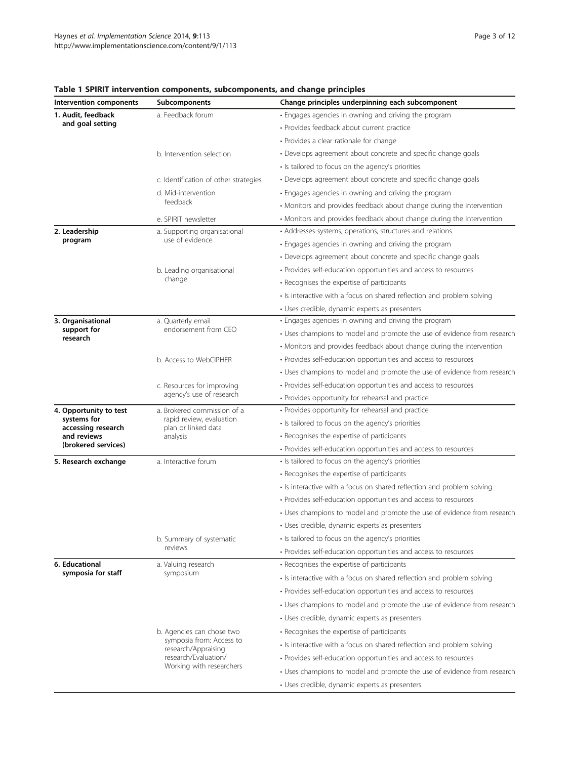| Intervention components              | Subcomponents                                                                              | Change principles underpinning each subcomponent                        |  |  |  |
|--------------------------------------|--------------------------------------------------------------------------------------------|-------------------------------------------------------------------------|--|--|--|
| 1. Audit, feedback                   | a. Feedback forum                                                                          | · Engages agencies in owning and driving the program                    |  |  |  |
| and goal setting                     |                                                                                            | · Provides feedback about current practice                              |  |  |  |
|                                      |                                                                                            | • Provides a clear rationale for change                                 |  |  |  |
|                                      | b. Intervention selection                                                                  | • Develops agreement about concrete and specific change goals           |  |  |  |
|                                      |                                                                                            | • Is tailored to focus on the agency's priorities                       |  |  |  |
|                                      | c. Identification of other strategies                                                      | • Develops agreement about concrete and specific change goals           |  |  |  |
|                                      | d. Mid-intervention                                                                        | · Engages agencies in owning and driving the program                    |  |  |  |
|                                      | feedback                                                                                   | • Monitors and provides feedback about change during the intervention   |  |  |  |
|                                      | e. SPIRIT newsletter                                                                       | • Monitors and provides feedback about change during the intervention   |  |  |  |
| 2. Leadership                        | a. Supporting organisational                                                               | • Addresses systems, operations, structures and relations               |  |  |  |
| program                              | use of evidence                                                                            | • Engages agencies in owning and driving the program                    |  |  |  |
|                                      |                                                                                            | • Develops agreement about concrete and specific change goals           |  |  |  |
|                                      | b. Leading organisational<br>change                                                        | • Provides self-education opportunities and access to resources         |  |  |  |
|                                      |                                                                                            | • Recognises the expertise of participants                              |  |  |  |
|                                      |                                                                                            | • Is interactive with a focus on shared reflection and problem solving  |  |  |  |
|                                      |                                                                                            | · Uses credible, dynamic experts as presenters                          |  |  |  |
| 3. Organisational                    | a. Quarterly email                                                                         | · Engages agencies in owning and driving the program                    |  |  |  |
| support for<br>research              | endorsement from CEO                                                                       | • Uses champions to model and promote the use of evidence from research |  |  |  |
|                                      |                                                                                            | • Monitors and provides feedback about change during the intervention   |  |  |  |
|                                      | b. Access to WebCIPHER                                                                     | • Provides self-education opportunities and access to resources         |  |  |  |
|                                      |                                                                                            | • Uses champions to model and promote the use of evidence from research |  |  |  |
|                                      | c. Resources for improving<br>agency's use of research                                     | • Provides self-education opportunities and access to resources         |  |  |  |
|                                      |                                                                                            | • Provides opportunity for rehearsal and practice                       |  |  |  |
| 4. Opportunity to test               | a. Brokered commission of a<br>rapid review, evaluation<br>plan or linked data<br>analysis | • Provides opportunity for rehearsal and practice                       |  |  |  |
| systems for<br>accessing research    |                                                                                            | · Is tailored to focus on the agency's priorities                       |  |  |  |
| and reviews<br>(brokered services)   |                                                                                            | • Recognises the expertise of participants                              |  |  |  |
|                                      |                                                                                            | • Provides self-education opportunities and access to resources         |  |  |  |
| 5. Research exchange                 | a. Interactive forum                                                                       | • Is tailored to focus on the agency's priorities                       |  |  |  |
|                                      |                                                                                            | • Recognises the expertise of participants                              |  |  |  |
|                                      |                                                                                            | • Is interactive with a focus on shared reflection and problem solving  |  |  |  |
|                                      |                                                                                            | • Provides self-education opportunities and access to resources         |  |  |  |
|                                      |                                                                                            | • Uses champions to model and promote the use of evidence from research |  |  |  |
|                                      |                                                                                            | • Uses credible, dynamic experts as presenters                          |  |  |  |
|                                      | b. Summary of systematic<br>reviews                                                        | • Is tailored to focus on the agency's priorities                       |  |  |  |
|                                      |                                                                                            | • Provides self-education opportunities and access to resources         |  |  |  |
| 6. Educational<br>symposia for staff | a. Valuing research<br>symposium                                                           | • Recognises the expertise of participants                              |  |  |  |
|                                      |                                                                                            | • Is interactive with a focus on shared reflection and problem solving  |  |  |  |
|                                      |                                                                                            | • Provides self-education opportunities and access to resources         |  |  |  |
|                                      |                                                                                            | • Uses champions to model and promote the use of evidence from research |  |  |  |
|                                      |                                                                                            | • Uses credible, dynamic experts as presenters                          |  |  |  |
|                                      | b. Agencies can chose two                                                                  | • Recognises the expertise of participants                              |  |  |  |
|                                      | symposia from: Access to<br>research/Appraising<br>research/Evaluation/                    | • Is interactive with a focus on shared reflection and problem solving  |  |  |  |
|                                      |                                                                                            | • Provides self-education opportunities and access to resources         |  |  |  |
|                                      | Working with researchers                                                                   | • Uses champions to model and promote the use of evidence from research |  |  |  |
|                                      |                                                                                            | • Uses credible, dynamic experts as presenters                          |  |  |  |
|                                      |                                                                                            |                                                                         |  |  |  |

## <span id="page-4-0"></span>Table 1 SPIRIT intervention components, subcomponents, and change principles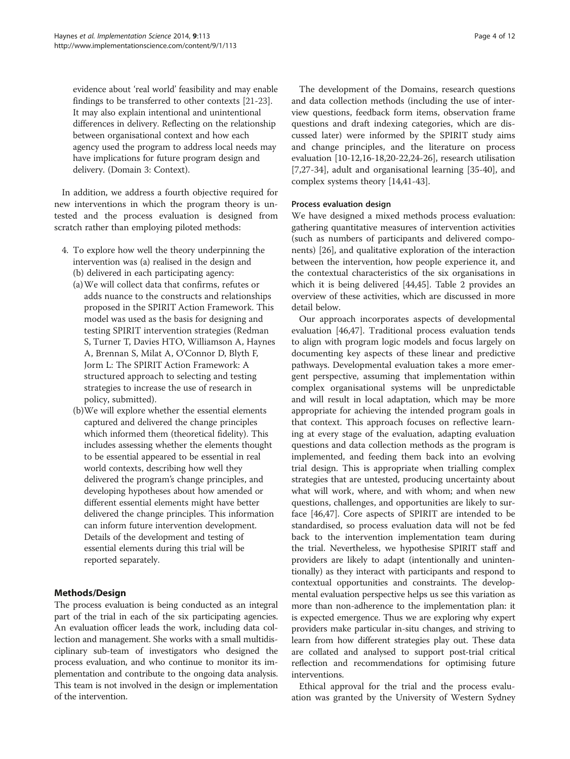evidence about 'real world' feasibility and may enable findings to be transferred to other contexts [[21](#page-13-0)-[23\]](#page-13-0). It may also explain intentional and unintentional differences in delivery. Reflecting on the relationship between organisational context and how each agency used the program to address local needs may have implications for future program design and delivery. (Domain 3: Context).

In addition, we address a fourth objective required for new interventions in which the program theory is untested and the process evaluation is designed from scratch rather than employing piloted methods:

- 4. To explore how well the theory underpinning the intervention was (a) realised in the design and
	- (b) delivered in each participating agency:
	- (a)We will collect data that confirms, refutes or adds nuance to the constructs and relationships proposed in the SPIRIT Action Framework. This model was used as the basis for designing and testing SPIRIT intervention strategies (Redman S, Turner T, Davies HTO, Williamson A, Haynes A, Brennan S, Milat A, O'Connor D, Blyth F, Jorm L: The SPIRIT Action Framework: A structured approach to selecting and testing strategies to increase the use of research in policy, submitted).
	- (b)We will explore whether the essential elements captured and delivered the change principles which informed them (theoretical fidelity). This includes assessing whether the elements thought to be essential appeared to be essential in real world contexts, describing how well they delivered the program's change principles, and developing hypotheses about how amended or different essential elements might have better delivered the change principles. This information can inform future intervention development. Details of the development and testing of essential elements during this trial will be reported separately.

## Methods/Design

The process evaluation is being conducted as an integral part of the trial in each of the six participating agencies. An evaluation officer leads the work, including data collection and management. She works with a small multidisciplinary sub-team of investigators who designed the process evaluation, and who continue to monitor its implementation and contribute to the ongoing data analysis. This team is not involved in the design or implementation of the intervention.

The development of the Domains, research questions and data collection methods (including the use of interview questions, feedback form items, observation frame questions and draft indexing categories, which are discussed later) were informed by the SPIRIT study aims and change principles, and the literature on process evaluation [[10-12,16](#page-12-0)-[18,20-22,24-26](#page-13-0)], research utilisation [[7,](#page-12-0)[27-34](#page-13-0)], adult and organisational learning [\[35](#page-13-0)-[40](#page-13-0)], and complex systems theory [\[14,](#page-12-0)[41-43](#page-13-0)].

#### Process evaluation design

We have designed a mixed methods process evaluation: gathering quantitative measures of intervention activities (such as numbers of participants and delivered components) [\[26](#page-13-0)], and qualitative exploration of the interaction between the intervention, how people experience it, and the contextual characteristics of the six organisations in which it is being delivered [[44,45\]](#page-13-0). Table [2](#page-6-0) provides an overview of these activities, which are discussed in more detail below.

Our approach incorporates aspects of developmental evaluation [\[46,47\]](#page-13-0). Traditional process evaluation tends to align with program logic models and focus largely on documenting key aspects of these linear and predictive pathways. Developmental evaluation takes a more emergent perspective, assuming that implementation within complex organisational systems will be unpredictable and will result in local adaptation, which may be more appropriate for achieving the intended program goals in that context. This approach focuses on reflective learning at every stage of the evaluation, adapting evaluation questions and data collection methods as the program is implemented, and feeding them back into an evolving trial design. This is appropriate when trialling complex strategies that are untested, producing uncertainty about what will work, where, and with whom; and when new questions, challenges, and opportunities are likely to surface [[46,47\]](#page-13-0). Core aspects of SPIRIT are intended to be standardised, so process evaluation data will not be fed back to the intervention implementation team during the trial. Nevertheless, we hypothesise SPIRIT staff and providers are likely to adapt (intentionally and unintentionally) as they interact with participants and respond to contextual opportunities and constraints. The developmental evaluation perspective helps us see this variation as more than non-adherence to the implementation plan: it is expected emergence. Thus we are exploring why expert providers make particular in-situ changes, and striving to learn from how different strategies play out. These data are collated and analysed to support post-trial critical reflection and recommendations for optimising future interventions.

Ethical approval for the trial and the process evaluation was granted by the University of Western Sydney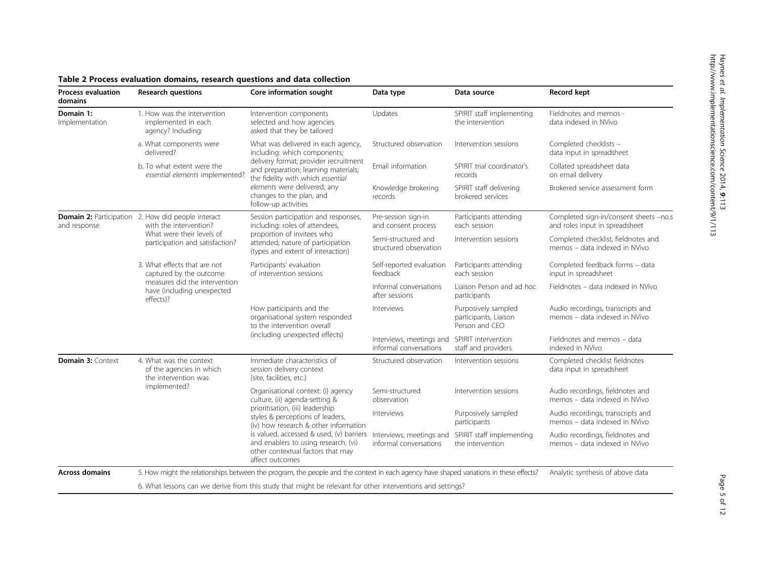| <b>Process evaluation</b><br>domains | <b>Research questions</b>                                                                                                                                                  | Core information sought                                                                                                                                                                                                                                                                                                           | Data type                                          | Data source                                                    | <b>Record kept</b>                                                       |  |  |  |
|--------------------------------------|----------------------------------------------------------------------------------------------------------------------------------------------------------------------------|-----------------------------------------------------------------------------------------------------------------------------------------------------------------------------------------------------------------------------------------------------------------------------------------------------------------------------------|----------------------------------------------------|----------------------------------------------------------------|--------------------------------------------------------------------------|--|--|--|
| Domain 1:<br>Implementation          | 1. How was the intervention<br>implemented in each<br>agency? Including:                                                                                                   | Intervention components<br>selected and how agencies<br>asked that they be tailored                                                                                                                                                                                                                                               | Updates                                            | SPIRIT staff implementing<br>the intervention                  | Fieldnotes and memos -<br>data indexed in NVivo                          |  |  |  |
|                                      | a. What components were<br>delivered?                                                                                                                                      | What was delivered in each agency,<br>including: which components;                                                                                                                                                                                                                                                                | Structured observation                             | Intervention sessions                                          | Completed checklists -<br>data input in spreadsheet                      |  |  |  |
|                                      | b. To what extent were the<br>essential elements implemented?                                                                                                              | delivery format; provider recruitment<br>and preparation; learning materials;<br>the fidelity with which essential<br>elements were delivered; any<br>changes to the plan, and<br>follow-up activities                                                                                                                            | Email information                                  | SPIRIT trial coordinator's<br>records                          | Collated spreadsheet data<br>on email delivery                           |  |  |  |
|                                      |                                                                                                                                                                            |                                                                                                                                                                                                                                                                                                                                   | Knowledge brokering<br>records                     | SPIRIT staff delivering<br>brokered services                   | Brokered service assessment form                                         |  |  |  |
| and response                         | <b>Domain 2:</b> Participation 2. How did people interact<br>with the intervention?                                                                                        | Session participation and responses,<br>including: roles of attendees,<br>proportion of invitees who<br>attended; nature of participation<br>(types and extent of interaction)                                                                                                                                                    | Pre-session sign-in<br>and consent process         | Participants attending<br>each session                         | Completed sign-in/consent sheets -no.s<br>and roles input in spreadsheet |  |  |  |
|                                      | What were their levels of<br>participation and satisfaction?                                                                                                               |                                                                                                                                                                                                                                                                                                                                   | Semi-structured and<br>structured observation      | Intervention sessions                                          | Completed checklist, fieldnotes and<br>memos - data indexed in NVivo     |  |  |  |
|                                      | 3. What effects that are not<br>captured by the outcome                                                                                                                    | Participants' evaluation<br>of intervention sessions                                                                                                                                                                                                                                                                              | Self-reported evaluation<br>feedback               | Participants attending<br>each session                         | Completed feedback forms - data<br>input in spreadsheet                  |  |  |  |
|                                      | measures did the intervention<br>have (including unexpected<br>effects)?                                                                                                   |                                                                                                                                                                                                                                                                                                                                   | Informal conversations<br>after sessions           | Liaison Person and ad hoc<br>participants                      | Fieldnotes - data indexed in NVivo                                       |  |  |  |
|                                      |                                                                                                                                                                            | How participants and the<br>organisational system responded<br>to the intervention overall<br>(including unexpected effects)                                                                                                                                                                                                      | Interviews                                         | Purposively sampled<br>participants, Liaison<br>Person and CFO | Audio recordings, transcripts and<br>memos - data indexed in NVivo       |  |  |  |
|                                      |                                                                                                                                                                            |                                                                                                                                                                                                                                                                                                                                   | Interviews, meetings and<br>informal conversations | SPIRIT intervention<br>staff and providers                     | Fieldnotes and memos - data<br>indexed in NVivo                          |  |  |  |
| Domain 3: Context                    | 4. What was the context<br>of the agencies in which<br>the intervention was                                                                                                | Immediate characteristics of<br>session delivery context<br>(site, facilities, etc.)                                                                                                                                                                                                                                              | Structured observation                             | Intervention sessions                                          | Completed checklist fieldnotes<br>data input in spreadsheet              |  |  |  |
|                                      | implemented?                                                                                                                                                               | Organisational context: (i) agency<br>culture, (ii) agenda-setting &<br>prioritisation, (iii) leadership<br>styles & perceptions of leaders,<br>(iv) how research & other information<br>is valued, accessed & used, (v) barriers<br>and enablers to using research, (vi)<br>other contextual factors that may<br>affect outcomes | Semi-structured<br>observation                     | Intervention sessions                                          | Audio recordings, fieldnotes and<br>memos - data indexed in NVivo        |  |  |  |
|                                      |                                                                                                                                                                            |                                                                                                                                                                                                                                                                                                                                   | Interviews                                         | Purposively sampled<br>participants                            | Audio recordings, transcripts and<br>memos - data indexed in NVivo       |  |  |  |
|                                      |                                                                                                                                                                            |                                                                                                                                                                                                                                                                                                                                   | Interviews, meetings and<br>informal conversations | SPIRIT staff implementing<br>the intervention                  | Audio recordings, fieldnotes and<br>memos - data indexed in NVivo        |  |  |  |
| <b>Across domains</b>                | 5. How might the relationships between the program, the people and the context in each agency have shaped variations in these effects?<br>Analytic synthesis of above data |                                                                                                                                                                                                                                                                                                                                   |                                                    |                                                                |                                                                          |  |  |  |
|                                      | 6. What lessons can we derive from this study that might be relevant for other interventions and settings?                                                                 |                                                                                                                                                                                                                                                                                                                                   |                                                    |                                                                |                                                                          |  |  |  |

## <span id="page-6-0"></span>Table 2 Process evaluation domains, research questions and data collection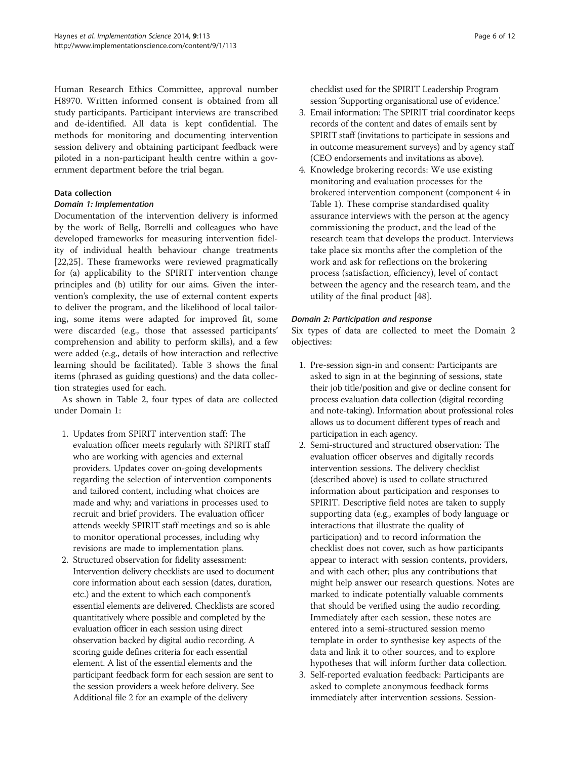Human Research Ethics Committee, approval number H8970. Written informed consent is obtained from all study participants. Participant interviews are transcribed and de-identified. All data is kept confidential. The methods for monitoring and documenting intervention session delivery and obtaining participant feedback were piloted in a non-participant health centre within a government department before the trial began.

#### Data collection

#### Domain 1: Implementation

Documentation of the intervention delivery is informed by the work of Bellg, Borrelli and colleagues who have developed frameworks for measuring intervention fidelity of individual health behaviour change treatments [[22,25\]](#page-13-0). These frameworks were reviewed pragmatically for (a) applicability to the SPIRIT intervention change principles and (b) utility for our aims. Given the intervention's complexity, the use of external content experts to deliver the program, and the likelihood of local tailoring, some items were adapted for improved fit, some were discarded (e.g., those that assessed participants' comprehension and ability to perform skills), and a few were added (e.g., details of how interaction and reflective learning should be facilitated). Table [3](#page-8-0) shows the final items (phrased as guiding questions) and the data collection strategies used for each.

As shown in Table [2,](#page-6-0) four types of data are collected under Domain 1:

- 1. Updates from SPIRIT intervention staff: The evaluation officer meets regularly with SPIRIT staff who are working with agencies and external providers. Updates cover on-going developments regarding the selection of intervention components and tailored content, including what choices are made and why; and variations in processes used to recruit and brief providers. The evaluation officer attends weekly SPIRIT staff meetings and so is able to monitor operational processes, including why revisions are made to implementation plans.
- 2. Structured observation for fidelity assessment: Intervention delivery checklists are used to document core information about each session (dates, duration, etc.) and the extent to which each component's essential elements are delivered. Checklists are scored quantitatively where possible and completed by the evaluation officer in each session using direct observation backed by digital audio recording. A scoring guide defines criteria for each essential element. A list of the essential elements and the participant feedback form for each session are sent to the session providers a week before delivery. See Additional file [2](#page-12-0) for an example of the delivery

checklist used for the SPIRIT Leadership Program session 'Supporting organisational use of evidence.'

- 3. Email information: The SPIRIT trial coordinator keeps records of the content and dates of emails sent by SPIRIT staff (invitations to participate in sessions and in outcome measurement surveys) and by agency staff (CEO endorsements and invitations as above).
- 4. Knowledge brokering records: We use existing monitoring and evaluation processes for the brokered intervention component (component 4 in Table [1\)](#page-4-0). These comprise standardised quality assurance interviews with the person at the agency commissioning the product, and the lead of the research team that develops the product. Interviews take place six months after the completion of the work and ask for reflections on the brokering process (satisfaction, efficiency), level of contact between the agency and the research team, and the utility of the final product [\[48\]](#page-13-0).

#### Domain 2: Participation and response

Six types of data are collected to meet the Domain 2 objectives:

- 1. Pre-session sign-in and consent: Participants are asked to sign in at the beginning of sessions, state their job title/position and give or decline consent for process evaluation data collection (digital recording and note-taking). Information about professional roles allows us to document different types of reach and participation in each agency.
- 2. Semi-structured and structured observation: The evaluation officer observes and digitally records intervention sessions. The delivery checklist (described above) is used to collate structured information about participation and responses to SPIRIT. Descriptive field notes are taken to supply supporting data (e.g., examples of body language or interactions that illustrate the quality of participation) and to record information the checklist does not cover, such as how participants appear to interact with session contents, providers, and with each other; plus any contributions that might help answer our research questions. Notes are marked to indicate potentially valuable comments that should be verified using the audio recording. Immediately after each session, these notes are entered into a semi-structured session memo template in order to synthesise key aspects of the data and link it to other sources, and to explore hypotheses that will inform further data collection.
- 3. Self-reported evaluation feedback: Participants are asked to complete anonymous feedback forms immediately after intervention sessions. Session-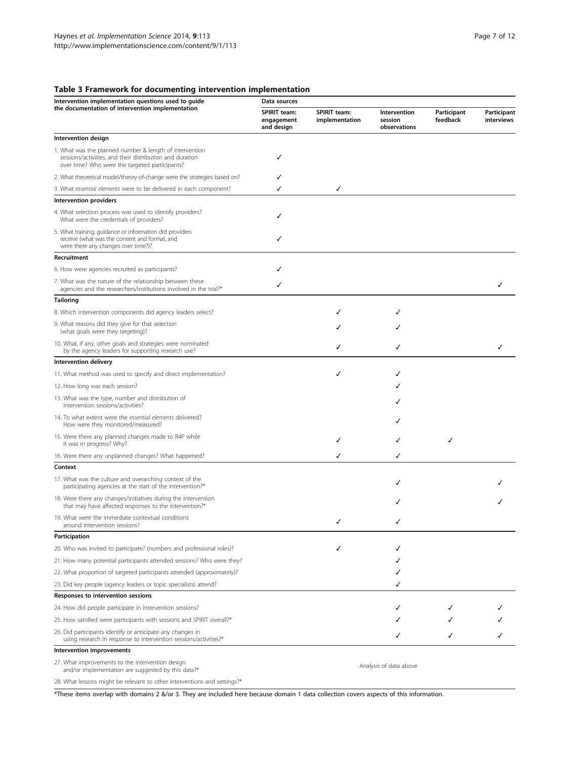#### <span id="page-8-0"></span>Table 3 Framework for documenting intervention implementation

| Intervention implementation questions used to quide                                                                                                                   | Data sources                                    |                                       |                                         |                         |                           |  |  |
|-----------------------------------------------------------------------------------------------------------------------------------------------------------------------|-------------------------------------------------|---------------------------------------|-----------------------------------------|-------------------------|---------------------------|--|--|
| the documentation of intervention implementation                                                                                                                      | <b>SPIRIT team:</b><br>engagement<br>and design | <b>SPIRIT team:</b><br>implementation | Intervention<br>session<br>observations | Participant<br>feedback | Participant<br>interviews |  |  |
| Intervention design                                                                                                                                                   |                                                 |                                       |                                         |                         |                           |  |  |
| 1. What was the planned number & length of intervention<br>sessions/activities, and their distribution and duration<br>over time? Who were the targeted participants? | ✓                                               |                                       |                                         |                         |                           |  |  |
| 2. What theoretical model/theory-of-change were the strategies based on?                                                                                              | ✓                                               |                                       |                                         |                         |                           |  |  |
| 3. What essential elements were to be delivered in each component?                                                                                                    | ✓                                               | ✓                                     |                                         |                         |                           |  |  |
| Intervention providers                                                                                                                                                |                                                 |                                       |                                         |                         |                           |  |  |
| 4. What selection process was used to identify providers?<br>What were the credentials of providers?                                                                  | ✓                                               |                                       |                                         |                         |                           |  |  |
| 5. What training, guidance or information did providers<br>receive (what was the content and format, and<br>were there any changes over time?)?                       | ✓                                               |                                       |                                         |                         |                           |  |  |
| Recruitment                                                                                                                                                           |                                                 |                                       |                                         |                         |                           |  |  |
| 6. How were agencies recruited as participants?                                                                                                                       | ✓                                               |                                       |                                         |                         |                           |  |  |
| 7. What was the nature of the relationship between these<br>agencies and the researchers/institutions involved in the trial?*                                         | ✓                                               |                                       |                                         |                         | ✓                         |  |  |
| <b>Tailoring</b>                                                                                                                                                      |                                                 |                                       |                                         |                         |                           |  |  |
| 8. Which intervention components did agency leaders select?                                                                                                           |                                                 |                                       |                                         |                         |                           |  |  |
| 9. What reasons did they give for that selection<br>(what goals were they targeting)?                                                                                 |                                                 |                                       |                                         |                         |                           |  |  |
| 10. What, if any, other goals and strategies were nominated<br>by the agency leaders for supporting research use?                                                     |                                                 | ✓                                     | ✓                                       |                         | ✓                         |  |  |
| <b>Intervention delivery</b>                                                                                                                                          |                                                 |                                       |                                         |                         |                           |  |  |
| 11. What method was used to specify and direct implementation?                                                                                                        |                                                 | ✓                                     | ✓                                       |                         |                           |  |  |
| 12. How long was each session?                                                                                                                                        |                                                 |                                       |                                         |                         |                           |  |  |
| 13. What was the type, number and distribution of<br>intervention sessions/activities?                                                                                |                                                 |                                       |                                         |                         |                           |  |  |
| 14. To what extent were the essential elements delivered?<br>How were they monitored/measured?                                                                        |                                                 |                                       |                                         |                         |                           |  |  |
| 15. Were there any planned changes made to R4P while<br>it was in progress? Why?                                                                                      |                                                 |                                       |                                         | ✓                       |                           |  |  |
| 16. Were there any unplanned changes? What happened?                                                                                                                  |                                                 | ✓                                     | ✓                                       |                         |                           |  |  |
| Context                                                                                                                                                               |                                                 |                                       |                                         |                         |                           |  |  |
| 17. What was the culture and overarching context of the<br>participating agencies at the start of the intervention?*                                                  |                                                 |                                       | ✓                                       |                         |                           |  |  |
| 18. Were there any changes/initiatives during the intervention<br>that may have affected responses to the intervention?*                                              |                                                 |                                       |                                         |                         |                           |  |  |
| 19. What were the immediate contextual conditions<br>around intervention sessions?<br>Participation                                                                   |                                                 | ✓                                     |                                         |                         |                           |  |  |
| 20. Who was invited to participate? (numbers and professional roles)?                                                                                                 |                                                 |                                       |                                         |                         |                           |  |  |
| 21. How many potential participants attended sessions? Who were they?                                                                                                 |                                                 |                                       |                                         |                         |                           |  |  |
| 22. What proportion of targeted participants attended (approximately)?                                                                                                |                                                 |                                       |                                         |                         |                           |  |  |
| 23. Did key people (agency leaders or topic specialists) attend?                                                                                                      |                                                 |                                       |                                         |                         |                           |  |  |
| Responses to intervention sessions                                                                                                                                    |                                                 |                                       |                                         |                         |                           |  |  |
| 24. How did people participate in intervention sessions?                                                                                                              |                                                 |                                       |                                         |                         |                           |  |  |
| 25. How satisfied were participants with sessions and SPIRIT overall?*                                                                                                |                                                 |                                       |                                         |                         |                           |  |  |
| 26. Did participants identify or anticipate any changes in<br>using research in response to intervention sessions/activities?*                                        |                                                 |                                       | ✓                                       | ✓                       |                           |  |  |
| Intervention improvements                                                                                                                                             |                                                 |                                       |                                         |                         |                           |  |  |
| 27. What improvements to the intervention design<br>and/or implementation are suggested by this data?*                                                                |                                                 |                                       | Analysis of data above                  |                         |                           |  |  |
| 28. What lessons might be relevant to other interventions and settings?*                                                                                              |                                                 |                                       |                                         |                         |                           |  |  |

\*These items overlap with domains 2 &/or 3. They are included here because domain 1 data collection covers aspects of this information.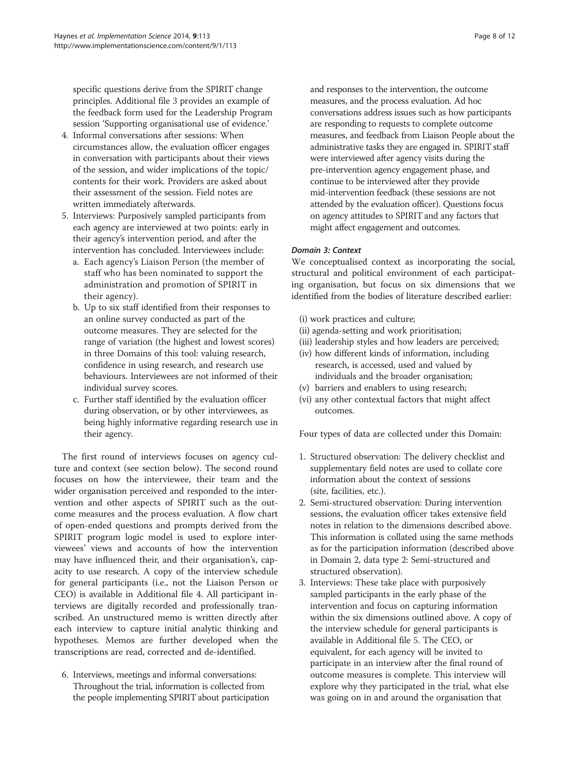specific questions derive from the SPIRIT change principles. Additional file [3](#page-12-0) provides an example of the feedback form used for the Leadership Program session 'Supporting organisational use of evidence.'

- 4. Informal conversations after sessions: When circumstances allow, the evaluation officer engages in conversation with participants about their views of the session, and wider implications of the topic/ contents for their work. Providers are asked about their assessment of the session. Field notes are written immediately afterwards.
- 5. Interviews: Purposively sampled participants from each agency are interviewed at two points: early in their agency's intervention period, and after the intervention has concluded. Interviewees include:
	- a. Each agency's Liaison Person (the member of staff who has been nominated to support the administration and promotion of SPIRIT in their agency).
	- b. Up to six staff identified from their responses to an online survey conducted as part of the outcome measures. They are selected for the range of variation (the highest and lowest scores) in three Domains of this tool: valuing research, confidence in using research, and research use behaviours. Interviewees are not informed of their individual survey scores.
	- c. Further staff identified by the evaluation officer during observation, or by other interviewees, as being highly informative regarding research use in their agency.

The first round of interviews focuses on agency culture and context (see section below). The second round focuses on how the interviewee, their team and the wider organisation perceived and responded to the intervention and other aspects of SPIRIT such as the outcome measures and the process evaluation. A flow chart of open-ended questions and prompts derived from the SPIRIT program logic model is used to explore interviewees' views and accounts of how the intervention may have influenced their, and their organisation's, capacity to use research. A copy of the interview schedule for general participants (i.e., not the Liaison Person or CEO) is available in Additional file [4](#page-12-0). All participant interviews are digitally recorded and professionally transcribed. An unstructured memo is written directly after each interview to capture initial analytic thinking and hypotheses. Memos are further developed when the transcriptions are read, corrected and de-identified.

6. Interviews, meetings and informal conversations: Throughout the trial, information is collected from the people implementing SPIRIT about participation and responses to the intervention, the outcome measures, and the process evaluation. Ad hoc conversations address issues such as how participants are responding to requests to complete outcome measures, and feedback from Liaison People about the administrative tasks they are engaged in. SPIRIT staff were interviewed after agency visits during the pre-intervention agency engagement phase, and continue to be interviewed after they provide mid-intervention feedback (these sessions are not attended by the evaluation officer). Questions focus on agency attitudes to SPIRIT and any factors that might affect engagement and outcomes.

#### Domain 3: Context

We conceptualised context as incorporating the social, structural and political environment of each participating organisation, but focus on six dimensions that we identified from the bodies of literature described earlier:

- (i) work practices and culture;
- (ii) agenda-setting and work prioritisation;
- (iii) leadership styles and how leaders are perceived;
- (iv) how different kinds of information, including research, is accessed, used and valued by individuals and the broader organisation;
- (v) barriers and enablers to using research;
- (vi) any other contextual factors that might affect outcomes.

Four types of data are collected under this Domain:

- 1. Structured observation: The delivery checklist and supplementary field notes are used to collate core information about the context of sessions (site, facilities, etc.).
- 2. Semi-structured observation: During intervention sessions, the evaluation officer takes extensive field notes in relation to the dimensions described above. This information is collated using the same methods as for the participation information (described above in Domain 2, data type 2: Semi-structured and structured observation).
- 3. Interviews: These take place with purposively sampled participants in the early phase of the intervention and focus on capturing information within the six dimensions outlined above. A copy of the interview schedule for general participants is available in Additional file [5.](#page-12-0) The CEO, or equivalent, for each agency will be invited to participate in an interview after the final round of outcome measures is complete. This interview will explore why they participated in the trial, what else was going on in and around the organisation that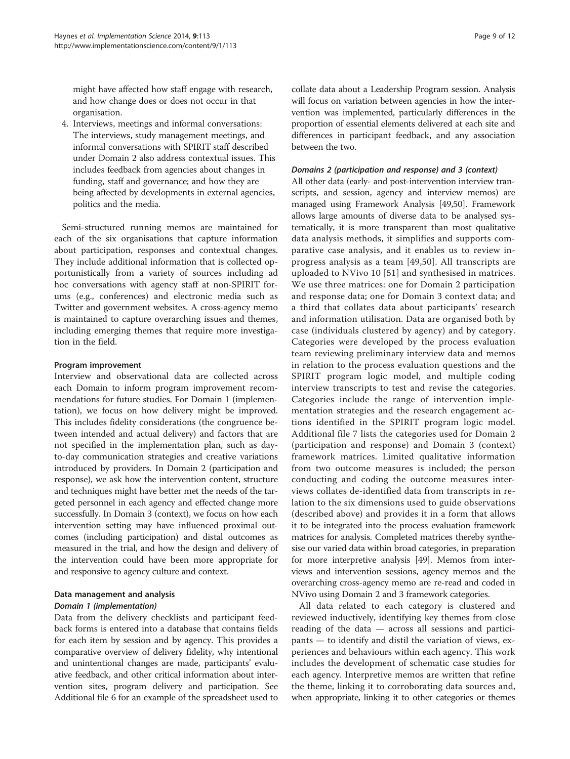might have affected how staff engage with research, and how change does or does not occur in that organisation.

4. Interviews, meetings and informal conversations: The interviews, study management meetings, and informal conversations with SPIRIT staff described under Domain 2 also address contextual issues. This includes feedback from agencies about changes in funding, staff and governance; and how they are being affected by developments in external agencies, politics and the media.

Semi-structured running memos are maintained for each of the six organisations that capture information about participation, responses and contextual changes. They include additional information that is collected opportunistically from a variety of sources including ad hoc conversations with agency staff at non-SPIRIT forums (e.g., conferences) and electronic media such as Twitter and government websites. A cross-agency memo is maintained to capture overarching issues and themes, including emerging themes that require more investigation in the field.

#### Program improvement

Interview and observational data are collected across each Domain to inform program improvement recommendations for future studies. For Domain 1 (implementation), we focus on how delivery might be improved. This includes fidelity considerations (the congruence between intended and actual delivery) and factors that are not specified in the implementation plan, such as dayto-day communication strategies and creative variations introduced by providers. In Domain 2 (participation and response), we ask how the intervention content, structure and techniques might have better met the needs of the targeted personnel in each agency and effected change more successfully. In Domain 3 (context), we focus on how each intervention setting may have influenced proximal outcomes (including participation) and distal outcomes as measured in the trial, and how the design and delivery of the intervention could have been more appropriate for and responsive to agency culture and context.

#### Data management and analysis Domain 1 (implementation)

Data from the delivery checklists and participant feedback forms is entered into a database that contains fields for each item by session and by agency. This provides a comparative overview of delivery fidelity, why intentional and unintentional changes are made, participants' evaluative feedback, and other critical information about intervention sites, program delivery and participation. See Additional file [6](#page-12-0) for an example of the spreadsheet used to collate data about a Leadership Program session. Analysis will focus on variation between agencies in how the intervention was implemented, particularly differences in the proportion of essential elements delivered at each site and differences in participant feedback, and any association between the two.

#### Domains 2 (participation and response) and 3 (context)

All other data (early- and post-intervention interview transcripts, and session, agency and interview memos) are managed using Framework Analysis [\[49,50](#page-13-0)]. Framework allows large amounts of diverse data to be analysed systematically, it is more transparent than most qualitative data analysis methods, it simplifies and supports comparative case analysis, and it enables us to review inprogress analysis as a team [[49,50](#page-13-0)]. All transcripts are uploaded to NVivo 10 [[51](#page-13-0)] and synthesised in matrices. We use three matrices: one for Domain 2 participation and response data; one for Domain 3 context data; and a third that collates data about participants' research and information utilisation. Data are organised both by case (individuals clustered by agency) and by category. Categories were developed by the process evaluation team reviewing preliminary interview data and memos in relation to the process evaluation questions and the SPIRIT program logic model, and multiple coding interview transcripts to test and revise the categories. Categories include the range of intervention implementation strategies and the research engagement actions identified in the SPIRIT program logic model. Additional file [7](#page-12-0) lists the categories used for Domain 2 (participation and response) and Domain 3 (context) framework matrices. Limited qualitative information from two outcome measures is included; the person conducting and coding the outcome measures interviews collates de-identified data from transcripts in relation to the six dimensions used to guide observations (described above) and provides it in a form that allows it to be integrated into the process evaluation framework matrices for analysis. Completed matrices thereby synthesise our varied data within broad categories, in preparation for more interpretive analysis [\[49\]](#page-13-0). Memos from interviews and intervention sessions, agency memos and the overarching cross-agency memo are re-read and coded in NVivo using Domain 2 and 3 framework categories.

All data related to each category is clustered and reviewed inductively, identifying key themes from close reading of the data — across all sessions and participants — to identify and distil the variation of views, experiences and behaviours within each agency. This work includes the development of schematic case studies for each agency. Interpretive memos are written that refine the theme, linking it to corroborating data sources and, when appropriate, linking it to other categories or themes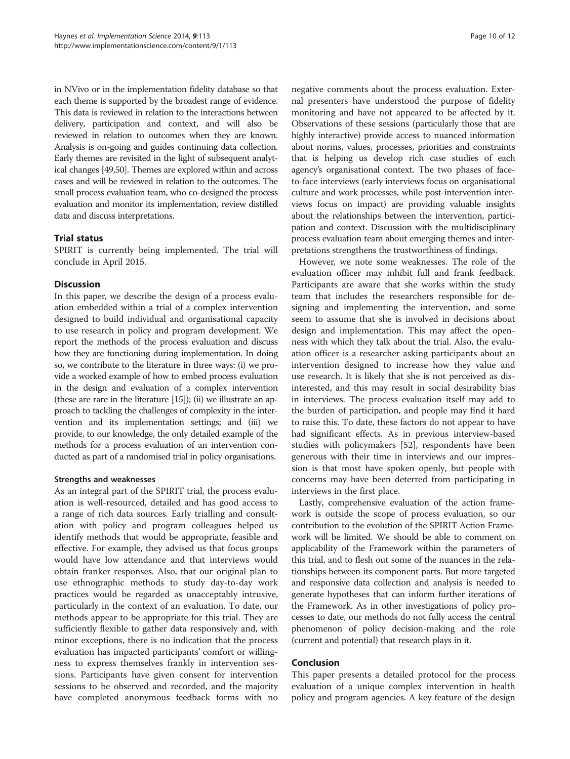in NVivo or in the implementation fidelity database so that each theme is supported by the broadest range of evidence. This data is reviewed in relation to the interactions between delivery, participation and context, and will also be reviewed in relation to outcomes when they are known. Analysis is on-going and guides continuing data collection. Early themes are revisited in the light of subsequent analytical changes [\[49,50\]](#page-13-0). Themes are explored within and across cases and will be reviewed in relation to the outcomes. The small process evaluation team, who co-designed the process evaluation and monitor its implementation, review distilled data and discuss interpretations.

#### Trial status

SPIRIT is currently being implemented. The trial will conclude in April 2015.

#### **Discussion**

In this paper, we describe the design of a process evaluation embedded within a trial of a complex intervention designed to build individual and organisational capacity to use research in policy and program development. We report the methods of the process evaluation and discuss how they are functioning during implementation. In doing so, we contribute to the literature in three ways: (i) we provide a worked example of how to embed process evaluation in the design and evaluation of a complex intervention (these are rare in the literature  $[15]$  $[15]$ ); (ii) we illustrate an approach to tackling the challenges of complexity in the intervention and its implementation settings; and (iii) we provide, to our knowledge, the only detailed example of the methods for a process evaluation of an intervention conducted as part of a randomised trial in policy organisations.

#### Strengths and weaknesses

As an integral part of the SPIRIT trial, the process evaluation is well-resourced, detailed and has good access to a range of rich data sources. Early trialling and consultation with policy and program colleagues helped us identify methods that would be appropriate, feasible and effective. For example, they advised us that focus groups would have low attendance and that interviews would obtain franker responses. Also, that our original plan to use ethnographic methods to study day-to-day work practices would be regarded as unacceptably intrusive, particularly in the context of an evaluation. To date, our methods appear to be appropriate for this trial. They are sufficiently flexible to gather data responsively and, with minor exceptions, there is no indication that the process evaluation has impacted participants' comfort or willingness to express themselves frankly in intervention sessions. Participants have given consent for intervention sessions to be observed and recorded, and the majority have completed anonymous feedback forms with no

negative comments about the process evaluation. External presenters have understood the purpose of fidelity monitoring and have not appeared to be affected by it. Observations of these sessions (particularly those that are highly interactive) provide access to nuanced information about norms, values, processes, priorities and constraints that is helping us develop rich case studies of each agency's organisational context. The two phases of faceto-face interviews (early interviews focus on organisational culture and work processes, while post-intervention interviews focus on impact) are providing valuable insights about the relationships between the intervention, participation and context. Discussion with the multidisciplinary process evaluation team about emerging themes and interpretations strengthens the trustworthiness of findings.

However, we note some weaknesses. The role of the evaluation officer may inhibit full and frank feedback. Participants are aware that she works within the study team that includes the researchers responsible for designing and implementing the intervention, and some seem to assume that she is involved in decisions about design and implementation. This may affect the openness with which they talk about the trial. Also, the evaluation officer is a researcher asking participants about an intervention designed to increase how they value and use research. It is likely that she is not perceived as disinterested, and this may result in social desirability bias in interviews. The process evaluation itself may add to the burden of participation, and people may find it hard to raise this. To date, these factors do not appear to have had significant effects. As in previous interview-based studies with policymakers [[52\]](#page-13-0), respondents have been generous with their time in interviews and our impression is that most have spoken openly, but people with concerns may have been deterred from participating in interviews in the first place.

Lastly, comprehensive evaluation of the action framework is outside the scope of process evaluation, so our contribution to the evolution of the SPIRIT Action Framework will be limited. We should be able to comment on applicability of the Framework within the parameters of this trial, and to flesh out some of the nuances in the relationships between its component parts. But more targeted and responsive data collection and analysis is needed to generate hypotheses that can inform further iterations of the Framework. As in other investigations of policy processes to date, our methods do not fully access the central phenomenon of policy decision-making and the role (current and potential) that research plays in it.

#### Conclusion

This paper presents a detailed protocol for the process evaluation of a unique complex intervention in health policy and program agencies. A key feature of the design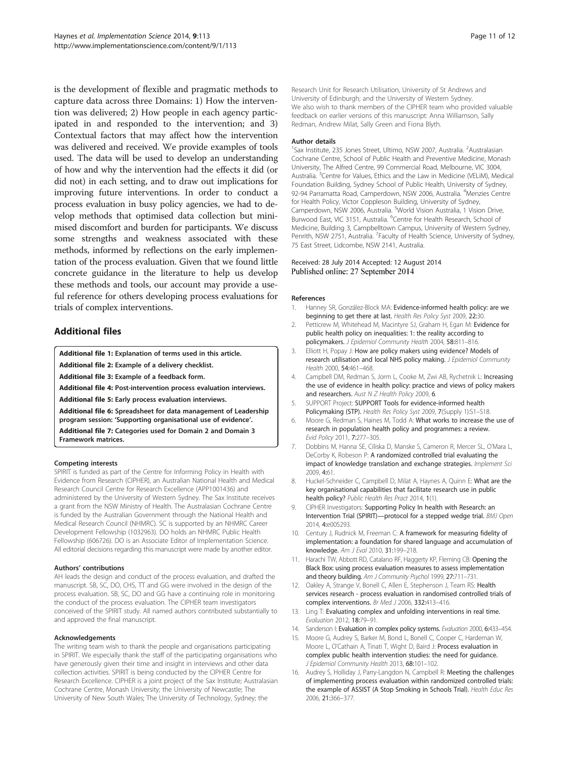<span id="page-12-0"></span>is the development of flexible and pragmatic methods to capture data across three Domains: 1) How the intervention was delivered; 2) How people in each agency participated in and responded to the intervention; and 3) Contextual factors that may affect how the intervention was delivered and received. We provide examples of tools used. The data will be used to develop an understanding of how and why the intervention had the effects it did (or did not) in each setting, and to draw out implications for improving future interventions. In order to conduct a process evaluation in busy policy agencies, we had to develop methods that optimised data collection but minimised discomfort and burden for participants. We discuss some strengths and weakness associated with these methods, informed by reflections on the early implementation of the process evaluation. Given that we found little concrete guidance in the literature to help us develop these methods and tools, our account may provide a useful reference for others developing process evaluations for trials of complex interventions.

## Additional files

[Additional file 1:](http://www.implementationscience.com/content/supplementary/s13012-014-0113-0-s1.docx) Explanation of terms used in this article.

[Additional file 2:](http://www.implementationscience.com/content/supplementary/s13012-014-0113-0-s2.docx) Example of a delivery checklist.

[Additional file 3:](http://www.implementationscience.com/content/supplementary/s13012-014-0113-0-s3.docx) Example of a feedback form.

[Additional file 4:](http://www.implementationscience.com/content/supplementary/s13012-014-0113-0-s4.docx) Post-intervention process evaluation interviews.

[Additional file 5:](http://www.implementationscience.com/content/supplementary/s13012-014-0113-0-s5.docx) Early process evaluation interviews.

[Additional file 6:](http://www.implementationscience.com/content/supplementary/s13012-014-0113-0-s6.docx) Spreadsheet for data management of Leadership program session: 'Supporting organisational use of evidence'.

[Additional file 7:](http://www.implementationscience.com/content/supplementary/s13012-014-0113-0-s7.docx) Categories used for Domain 2 and Domain 3 Framework matrices.

#### Competing interests

SPIRIT is funded as part of the Centre for Informing Policy in Health with Evidence from Research (CIPHER), an Australian National Health and Medical Research Council Centre for Research Excellence (APP1001436) and administered by the University of Western Sydney. The Sax Institute receives a grant from the NSW Ministry of Health. The Australasian Cochrane Centre is funded by the Australian Government through the National Health and Medical Research Council (NHMRC). SC is supported by an NHMRC Career Development Fellowship (1032963). DO holds an NHMRC Public Health Fellowship (606726). DO is an Associate Editor of Implementation Science. All editorial decisions regarding this manuscript were made by another editor.

#### Authors' contributions

AH leads the design and conduct of the process evaluation, and drafted the manuscript. SB, SC, DO, CHS, TT and GG were involved in the design of the process evaluation. SB, SC, DO and GG have a continuing role in monitoring the conduct of the process evaluation. The CIPHER team investigators conceived of the SPIRIT study. All named authors contributed substantially to and approved the final manuscript.

#### Acknowledgements

The writing team wish to thank the people and organisations participating in SPIRIT. We especially thank the staff of the participating organisations who have generously given their time and insight in interviews and other data collection activities. SPIRIT is being conducted by the CIPHER Centre for Research Excellence. CIPHER is a joint project of the Sax Institute; Australasian Cochrane Centre, Monash University; the University of Newcastle; The University of New South Wales; The University of Technology, Sydney; the

Research Unit for Research Utilisation, University of St Andrews and University of Edinburgh; and the University of Western Sydney. We also wish to thank members of the CIPHER team who provided valuable feedback on earlier versions of this manuscript: Anna Williamson, Sally Redman, Andrew Milat, Sally Green and Fiona Blyth.

#### Author details

<sup>1</sup>Sax Institute, 235 Jones Street, Ultimo, NSW 2007, Australia. <sup>2</sup>Australasian Cochrane Centre, School of Public Health and Preventive Medicine, Monash University, The Alfred Centre, 99 Commercial Road, Melbourne, VIC 3004, Australia.<sup>3</sup> Centre for Values, Ethics and the Law in Medicine (VELIM), Medical Foundation Building, Sydney School of Public Health, University of Sydney, 92-94 Parramatta Road, Camperdown, NSW 2006, Australia. <sup>4</sup>Menzies Centre for Health Policy, Victor Coppleson Building, University of Sydney, Camperdown, NSW 2006, Australia. <sup>5</sup>World Vision Australia, 1 Vision Drive Burwood East, VIC 3151, Australia. <sup>6</sup>Centre for Health Research, School of Medicine, Building 3, Campbelltown Campus, University of Western Sydney, Penrith, NSW 2751, Australia. <sup>7</sup> Faculty of Health Science, University of Sydney, 75 East Street, Lidcombe, NSW 2141, Australia.

#### Received: 28 July 2014 Accepted: 12 August 2014 Published online: 27 September 2014

#### References

- 1. Hanney SR, González-Block MA: Evidence-informed health policy: are we beginning to get there at last. Health Res Policy Syst 2009, 22:30.
- 2. Petticrew M, Whitehead M, Macintyre SJ, Graham H, Egan M: Evidence for public health policy on inequalities: 1: the reality according to policymakers. J Epidemiol Community Health 2004, 58:811–816.
- 3. Elliott H, Popay J: How are policy makers using evidence? Models of research utilisation and local NHS policy making. J Epidemiol Community Health 2000, 54:461–468.
- 4. Campbell DM, Redman S, Jorm L, Cooke M, Zwi AB, Rychetnik L: Increasing the use of evidence in health policy: practice and views of policy makers and researchers. Aust N Z Health Policy 2009, 6.
- 5. SUPPORT Project: SUPPORT Tools for evidence-informed health Policymaking (STP). Health Res Policy Syst 2009, 7(Supply 1):S1-S18.
- 6. Moore G, Redman S, Haines M, Todd A: What works to increase the use of research in population health policy and programmes: a review. Evid Policy 2011, 7:277–305.
- 7. Dobbins M, Hanna SE, Ciliska D, Manske S, Cameron R, Mercer SL, O'Mara L, DeCorby K, Robeson P: A randomized controlled trial evaluating the impact of knowledge translation and exchange strategies. Implement Sci 2009, 4:61.
- 8. Huckel-Schneider C, Campbell D, Milat A, Haynes A, Quinn E: What are the key organisational capabilities that facilitate research use in public health policy? Public Health Res Pract 2014, 1(1).
- 9. CIPHER Investigators: Supporting Policy In health with Research: an Intervention Trial (SPIRIT)—protocol for a stepped wedge trial. BMJ Open 2014, 4:e005293.
- 10. Century J, Rudnick M, Freeman C: A framework for measuring fidelity of implementation: a foundation for shared language and accumulation of knowledge. Am J Eval 2010, 31:199–218.
- 11. Harachi TW, Abbott RD, Catalano RF, Haggerty KP, Fleming CB: Opening the Black Box: using process evaluation measures to assess implementation and theory building. Am J Community Psychol 1999, 27:711-731.
- 12. Oakley A, Strange V, Bonell C, Allen E, Stephenson J, Team RS: Health services research - process evaluation in randomised controlled trials of complex interventions. Br Med J 2006, 332:413–416.
- 13. Ling T: Evaluating complex and unfolding interventions in real time. Evaluation 2012, 18:79–91.
- 14. Sanderson I: Evaluation in complex policy systems. Evaluation 2000, 6:433-454.
- 15. Moore G, Audrey S, Barker M, Bond L, Bonell C, Cooper C, Hardeman W, Moore L, O'Cathain A, Tinati T, Wight D, Baird J: Process evaluation in complex public health intervention studies: the need for guidance. J Epidemiol Community Health 2013, 68:101–102.
- 16. Audrey S, Holliday J, Parry-Langdon N, Campbell R: Meeting the challenges of implementing process evaluation within randomized controlled trials: the example of ASSIST (A Stop Smoking in Schools Trial). Health Educ Res 2006, 21:366–377.